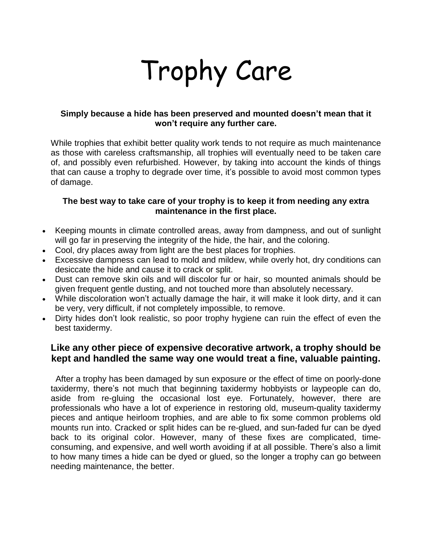# Trophy Care

### **Simply because a hide has been preserved and mounted doesn't mean that it won't require any further care.**

While trophies that exhibit better quality work tends to not require as much maintenance as those with careless craftsmanship, all trophies will eventually need to be taken care of, and possibly even refurbished. However, by taking into account the kinds of things that can cause a trophy to degrade over time, it's possible to avoid most common types of damage.

## **The best way to take care of your trophy is to keep it from needing any extra maintenance in the first place.**

- Keeping mounts in climate controlled areas, away from dampness, and out of sunlight will go far in preserving the integrity of the hide, the hair, and the coloring.
- Cool, dry places away from light are the best places for trophies.
- Excessive dampness can lead to mold and mildew, while overly hot, dry conditions can desiccate the hide and cause it to crack or split.
- Dust can remove skin oils and will discolor fur or hair, so mounted animals should be given frequent gentle dusting, and not touched more than absolutely necessary.
- While discoloration won't actually damage the hair, it will make it look dirty, and it can be very, very difficult, if not completely impossible, to remove.
- Dirty hides don't look realistic, so poor trophy hygiene can ruin the effect of even the best taxidermy.

# **Like any other piece of expensive decorative artwork, a trophy should be kept and handled the same way one would treat a fine, valuable painting.**

 After a trophy has been damaged by sun exposure or the effect of time on poorly-done taxidermy, there's not much that beginning taxidermy hobbyists or laypeople can do, aside from re-gluing the occasional lost eye. Fortunately, however, there are professionals who have a lot of experience in restoring old, museum-quality taxidermy pieces and antique heirloom trophies, and are able to fix some common problems old mounts run into. Cracked or split hides can be re-glued, and sun-faded fur can be dyed back to its original color. However, many of these fixes are complicated, timeconsuming, and expensive, and well worth avoiding if at all possible. There's also a limit to how many times a hide can be dyed or glued, so the longer a trophy can go between needing maintenance, the better.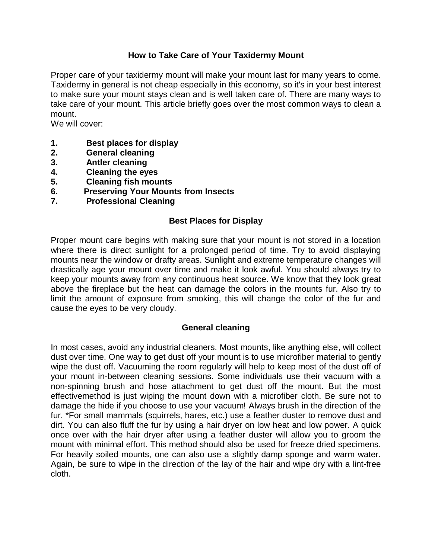# **How to Take Care of Your Taxidermy Mount**

Proper care of your taxidermy mount will make your mount last for many years to come. Taxidermy in general is not cheap especially in this economy, so it's in your best interest to make sure your mount stays clean and is well taken care of. There are many ways to take care of your mount. This article briefly goes over the most common ways to clean a mount.

We will cover:

- **1. Best places for display**
- **2. General cleaning**
- **3. Antler cleaning**
- **4. Cleaning the eyes**
- **5. Cleaning fish mounts**
- **6. Preserving Your Mounts from Insects**
- **7. Professional Cleaning**

## **Best Places for Display**

Proper mount care begins with making sure that your mount is not stored in a location where there is direct sunlight for a prolonged period of time. Try to avoid displaying mounts near the window or drafty areas. Sunlight and extreme temperature changes will drastically age your mount over time and make it look awful. You should always try to keep your mounts away from any continuous heat source. We know that they look great above the fireplace but the heat can damage the colors in the mounts fur. Also try to limit the amount of exposure from smoking, this will change the color of the fur and cause the eyes to be very cloudy.

## **General cleaning**

In most cases, avoid any industrial cleaners. Most mounts, like anything else, will collect dust over time. One way to get dust off your mount is to use microfiber material to gently wipe the dust off. Vacuuming the room regularly will help to keep most of the dust off of your mount in-between cleaning sessions. Some individuals use their vacuum with a non-spinning brush and hose attachment to get dust off the mount. But the most effectivemethod is just wiping the mount down with a microfiber cloth. Be sure not to damage the hide if you choose to use your vacuum! Always brush in the direction of the fur. \*For small mammals (squirrels, hares, etc.) use a feather duster to remove dust and dirt. You can also fluff the fur by using a hair dryer on low heat and low power. A quick once over with the hair dryer after using a feather duster will allow you to groom the mount with minimal effort. This method should also be used for freeze dried specimens. For heavily soiled mounts, one can also use a slightly damp sponge and warm water. Again, be sure to wipe in the direction of the lay of the hair and wipe dry with a lint-free cloth.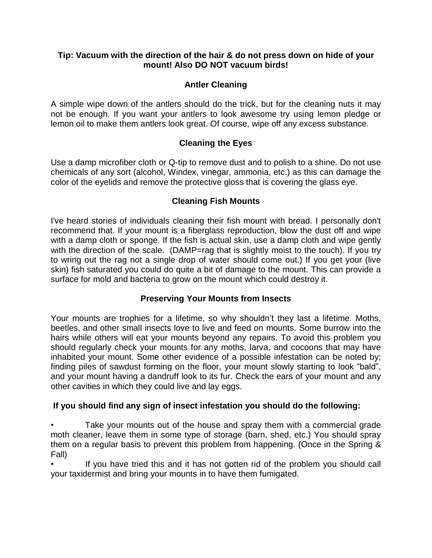# **Tip: Vacuum with the direction of the hair & do not press down on hide of your mount! Also DO NOT vacuum birds!**

# **Antler Cleaning**

A simple wipe down of the antlers should do the trick, but for the cleaning nuts it may not be enough. If you want your antlers to look awesome try using lemon pledge or lemon oil to make them antlers look great. Of course, wipe off any excess substance.

# **Cleaning the Eyes**

Use a damp microfiber cloth or Q-tip to remove dust and to polish to a shine. Do not use chemicals of any sort (alcohol, Windex, vinegar, ammonia, etc.) as this can damage the color of the eyelids and remove the protective gloss that is covering the glass eye.

# **Cleaning Fish Mounts**

I've heard stories of individuals cleaning their fish mount with bread. I personally don't recommend that. If your mount is a fiberglass reproduction, blow the dust off and wipe with a damp cloth or sponge. If the fish is actual skin, use a damp cloth and wipe gently with the direction of the scale. (DAMP=rag that is slightly moist to the touch). If you try to wring out the rag not a single drop of water should come out.) If you get your (live skin) fish saturated you could do quite a bit of damage to the mount. This can provide a surface for mold and bacteria to grow on the mount which could destroy it.

# **Preserving Your Mounts from Insects**

Your mounts are trophies for a lifetime, so why shouldn't they last a lifetime. Moths, beetles, and other small insects love to live and feed on mounts. Some burrow into the hairs while others will eat your mounts beyond any repairs. To avoid this problem you should regularly check your mounts for any moths, larva, and cocoons that may have inhabited your mount. Some other evidence of a possible infestation can be noted by; finding piles of sawdust forming on the floor, your mount slowly starting to look "bald", and your mount having a dandruff look to its fur. Check the ears of your mount and any other cavities in which they could live and lay eggs.

# **If you should find any sign of insect infestation you should do the following:**

Take your mounts out of the house and spray them with a commercial grade moth cleaner, leave them in some type of storage (barn, shed, etc.) You should spray them on a regular basis to prevent this problem from happening. (Once in the Spring & Fall)

If you have tried this and it has not gotten rid of the problem you should call your taxidermist and bring your mounts in to have them fumigated.